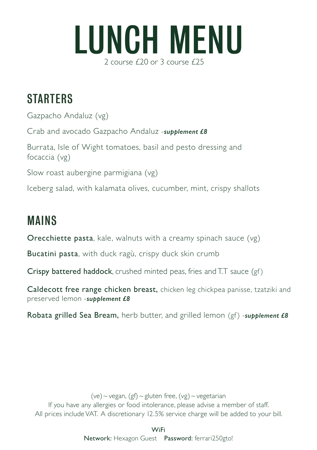

## **STARTERS**

Gazpacho Andaluz (vg) Crab and avocado Gazpacho Andaluz -*supplement £8* Burrata, Isle of Wight tomatoes, basil and pesto dressing and focaccia (vg) Slow roast aubergine parmigiana (vg) Iceberg salad, with kalamata olives, cucumber, mint, crispy shallots

## MAINS

Orecchiette pasta, kale, walnuts with a creamy spinach sauce (vg)

Bucatini pasta, with duck ragù, crispy duck skin crumb

Crispy battered haddock, crushed minted peas, fries and T.T sauce (gf)

Caldecott free range chicken breast, chicken leg chickpea panisse, tzatziki and preserved lemon -*supplement £8*

Robata grilled Sea Bream, herb butter, and grilled lemon (gf) -*supplement £8*

(ve)  $\sim$  vegan, (gf)  $\sim$  gluten free, (vg)  $\sim$  vegetarian If you have any allergies or food intolerance, please advise a member of staff. All prices include VAT. A discretionary 12.5% service charge will be added to your bill.

> WiFi Network: Hexagon Guest Password: ferrari250gto!